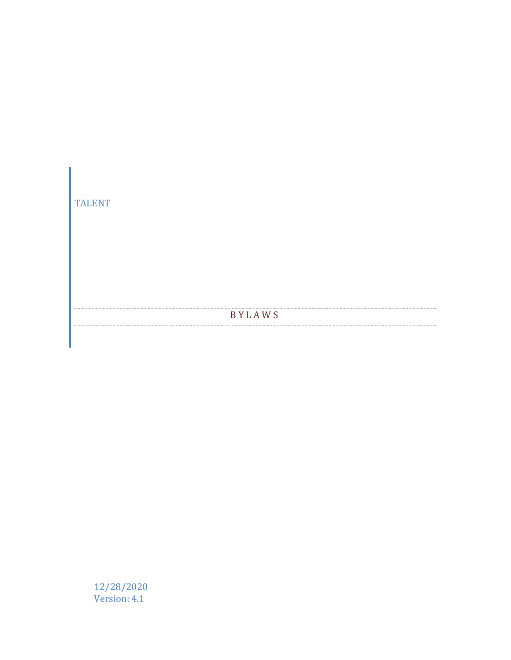

12/28/2020 Version: 4.1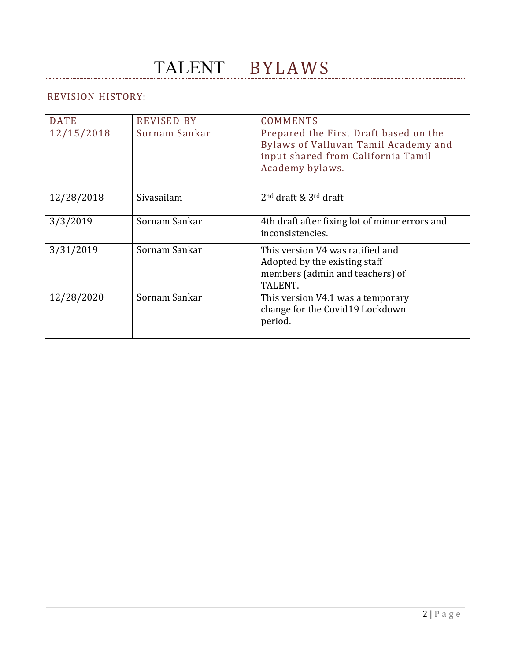### REVISION HISTORY:

| <b>DATE</b> | <b>REVISED BY</b> | <b>COMMENTS</b>                                                                                                                        |
|-------------|-------------------|----------------------------------------------------------------------------------------------------------------------------------------|
| 12/15/2018  | Sornam Sankar     | Prepared the First Draft based on the<br>Bylaws of Valluvan Tamil Academy and<br>input shared from California Tamil<br>Academy bylaws. |
| 12/28/2018  | Sivasailam        | $2nd$ draft & $3rd$ draft                                                                                                              |
| 3/3/2019    | Sornam Sankar     | 4th draft after fixing lot of minor errors and<br>inconsistencies.                                                                     |
| 3/31/2019   | Sornam Sankar     | This version V4 was ratified and<br>Adopted by the existing staff<br>members (admin and teachers) of<br>TALENT.                        |
| 12/28/2020  | Sornam Sankar     | This version V4.1 was a temporary<br>change for the Covid19 Lockdown<br>period.                                                        |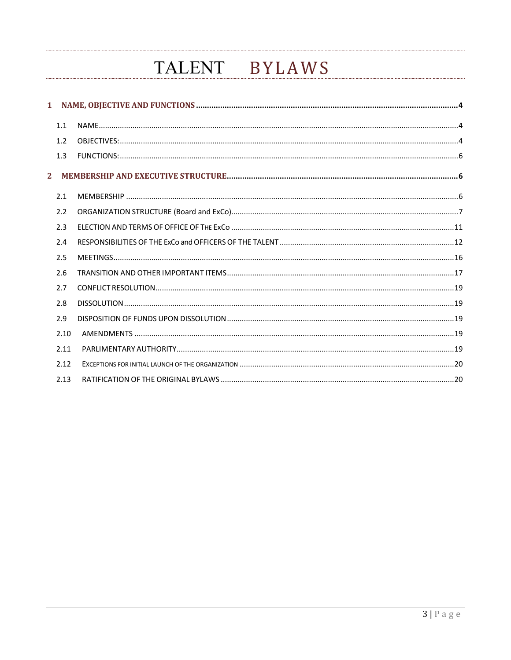|                           | 1.1  |  |
|---------------------------|------|--|
|                           | 1.2  |  |
|                           | 1.3  |  |
| $\mathbf{2}^{\mathsf{I}}$ |      |  |
|                           | 2.1  |  |
|                           | 2.2  |  |
|                           | 2.3  |  |
|                           | 2.4  |  |
|                           | 2.5  |  |
|                           | 2.6  |  |
|                           | 2.7  |  |
|                           | 2.8  |  |
|                           | 2.9  |  |
|                           | 2.10 |  |
|                           | 2.11 |  |
|                           | 2.12 |  |
|                           | 2.13 |  |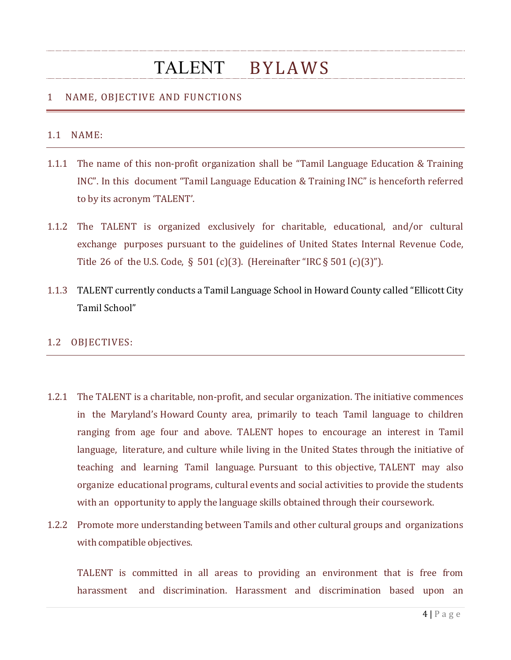### 1 NAME, OBJECTIVE AND FUNCTIONS

#### 1.1 NAME:

- 1.1.1 The name of this non-profit organization shall be "Tamil Language Education & Training INC". In this document "Tamil Language Education & Training INC" is henceforth referred to by its acronym 'TALENT'.
- 1.1.2 The TALENT is organized exclusively for charitable, educational, and/or cultural exchange purposes pursuant to the guidelines of United States Internal Revenue Code, Title 26 of the U.S. Code, § 501 (c)(3). (Hereinafter "IRC § 501 (c)(3)").
- 1.1.3 TALENT currently conducts a Tamil Language School in Howard County called "Ellicott City Tamil School"

#### 1.2 OBJECTIVES:

- 1.2.1 The TALENT is a charitable, non-profit, and secular organization. The initiative commences in the Maryland's Howard County area, primarily to teach Tamil language to children ranging from age four and above. TALENT hopes to encourage an interest in Tamil language, literature, and culture while living in the United States through the initiative of teaching and learning Tamil language. Pursuant to this objective, TALENT may also organize educational programs, cultural events and social activities to provide the students with an opportunity to apply the language skills obtained through their coursework.
- 1.2.2 Promote more understanding between Tamils and other cultural groups and organizations with compatible objectives.

TALENT is committed in all areas to providing an environment that is free from harassment and discrimination. Harassment and discrimination based upon an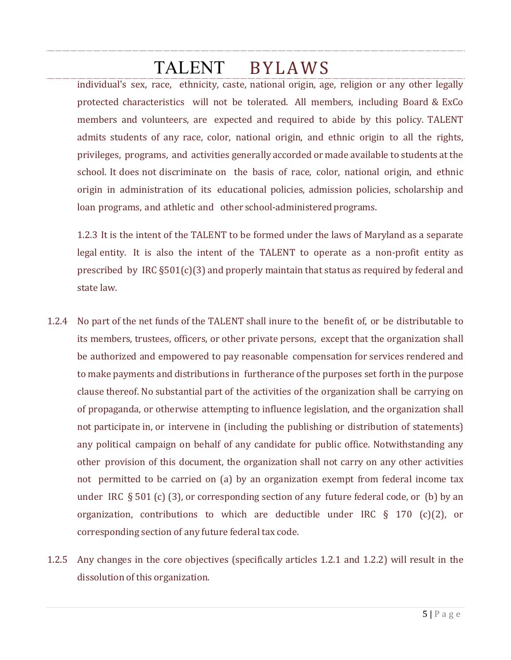individual's sex, race, ethnicity, caste, national origin, age, religion or any other legally protected characteristics will not be tolerated. All members, including Board & ExCo members and volunteers, are expected and required to abide by this policy. TALENT admits students of any race, color, national origin, and ethnic origin to all the rights, privileges, programs, and activities generally accorded or made available to students at the school. It does not discriminate on the basis of race, color, national origin, and ethnic origin in administration of its educational policies, admission policies, scholarship and loan programs, and athletic and other school-administered programs.

1.2.3 It is the intent of the TALENT to be formed under the laws of Maryland as a separate legal entity. It is also the intent of the TALENT to operate as a non-profit entity as prescribed by IRC §501(c)(3) and properly maintain that status as required by federal and state law.

- 1.2.4 No part of the net funds of the TALENT shall inure to the benefit of, or be distributable to its members, trustees, officers, or other private persons, except that the organization shall be authorized and empowered to pay reasonable compensation for services rendered and to make payments and distributions in furtherance of the purposes set forth in the purpose clause thereof. No substantial part of the activities of the organization shall be carrying on of propaganda, or otherwise attempting to influence legislation, and the organization shall not participate in, or intervene in (including the publishing or distribution of statements) any political campaign on behalf of any candidate for public office. Notwithstanding any other provision of this document, the organization shall not carry on any other activities not permitted to be carried on (a) by an organization exempt from federal income tax under IRC  $\S 501$  (c) (3), or corresponding section of any future federal code, or (b) by an organization, contributions to which are deductible under IRC § 170 (c)(2), or corresponding section of any future federal tax code.
- 1.2.5 Any changes in the core objectives (specifically articles 1.2.1 and 1.2.2) will result in the dissolution of this organization.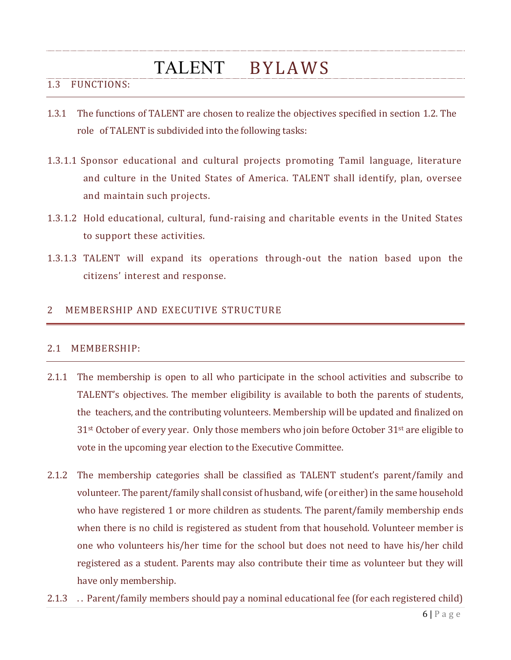### 1.3 FUNCTIONS:

- 1.3.1 The functions of TALENT are chosen to realize the objectives specified in section 1.2. The role of TALENT is subdivided into the following tasks:
- 1.3.1.1 Sponsor educational and cultural projects promoting Tamil language, literature and culture in the United States of America. TALENT shall identify, plan, oversee and maintain such projects.
- 1.3.1.2 Hold educational, cultural, fund-raising and charitable events in the United States to support these activities.
- 1.3.1.3 TALENT will expand its operations through-out the nation based upon the citizens' interest and response.

### 2 MEMBERSHIP AND EXECUTIVE STRUCTURE

#### 2.1 MEMBERSHIP:

- 2.1.1 The membership is open to all who participate in the school activities and subscribe to TALENT's objectives. The member eligibility is available to both the parents of students, the teachers, and the contributing volunteers. Membership will be updated and finalized on 31<sup>st</sup> October of every year. Only those members who join before October 31<sup>st</sup> are eligible to vote in the upcoming year election to the Executive Committee.
- 2.1.2 The membership categories shall be classified as TALENT student's parent/family and volunteer. The parent/family shall consist of husband, wife (or either) in the same household who have registered 1 or more children as students. The parent/family membership ends when there is no child is registered as student from that household. Volunteer member is one who volunteers his/her time for the school but does not need to have his/her child registered as a student. Parents may also contribute their time as volunteer but they will have only membership.
- 2.1.3 . . Parent/family members should pay a nominal educational fee (for each registered child)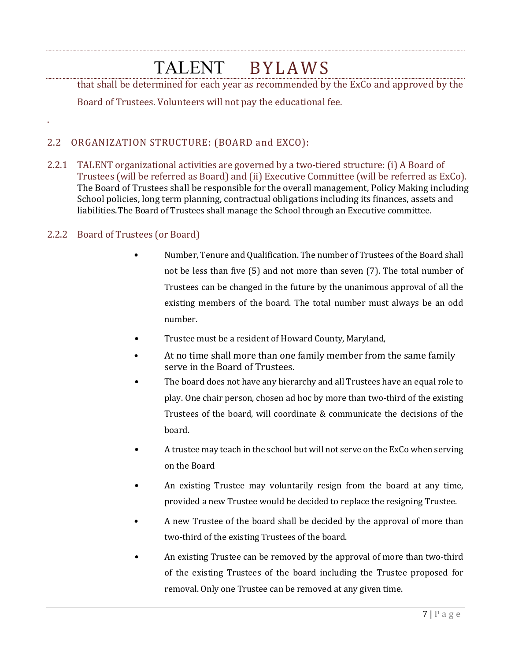that shall be determined for each year as recommended by the ExCo and approved by the

Board of Trustees. Volunteers will not pay the educational fee.

### 2.2 ORGANIZATION STRUCTURE: (BOARD and EXCO):

2.2.1 TALENT organizational activities are governed by a two-tiered structure: (i) A Board of Trustees (will be referred as Board) and (ii) Executive Committee (will be referred as ExCo). The Board of Trustees shall be responsible for the overall management, Policy Making including School policies, long term planning, contractual obligations including its finances, assets and liabilities.The Board of Trustees shall manage the School through an Executive committee.

### 2.2.2 Board of Trustees (or Board)

.

- Number, Tenure and Qualification. The number of Trustees of the Board shall not be less than five (5) and not more than seven (7). The total number of Trustees can be changed in the future by the unanimous approval of all the existing members of the board. The total number must always be an odd number.
- Trustee must be a resident of Howard County, Maryland,
- At no time shall more than one family member from the same family serve in the Board of Trustees.
- The board does not have any hierarchy and all Trustees have an equal role to play. One chair person, chosen ad hoc by more than two-third of the existing Trustees of the board, will coordinate & communicate the decisions of the board.
- A trustee may teach in the school but will not serve on the ExCo when serving on the Board
- An existing Trustee may voluntarily resign from the board at any time, provided a new Trustee would be decided to replace the resigning Trustee.
- A new Trustee of the board shall be decided by the approval of more than two-third of the existing Trustees of the board.
- An existing Trustee can be removed by the approval of more than two-third of the existing Trustees of the board including the Trustee proposed for removal. Only one Trustee can be removed at any given time.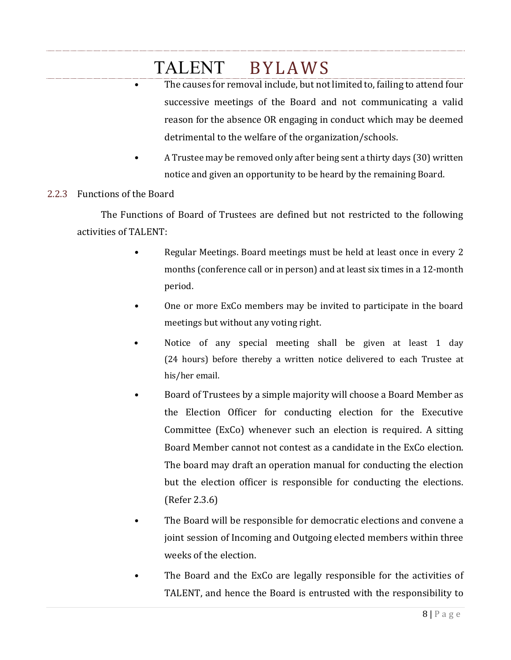- The causes for removal include, but not limited to, failing to attend four successive meetings of the Board and not communicating a valid reason for the absence OR engaging in conduct which may be deemed detrimental to the welfare of the organization/schools.
- A Trustee may be removed only after being sent a thirty days (30) written notice and given an opportunity to be heard by the remaining Board.

### 2.2.3 Functions of the Board

The Functions of Board of Trustees are defined but not restricted to the following activities of TALENT:

- Regular Meetings. Board meetings must be held at least once in every 2 months (conference call or in person) and at least six times in a 12-month period.
- One or more ExCo members may be invited to participate in the board meetings but without any voting right.
- Notice of any special meeting shall be given at least 1 day (24 hours) before thereby a written notice delivered to each Trustee at his/her email.
- Board of Trustees by a simple majority will choose a Board Member as the Election Officer for conducting election for the Executive Committee (ExCo) whenever such an election is required. A sitting Board Member cannot not contest as a candidate in the ExCo election. The board may draft an operation manual for conducting the election but the election officer is responsible for conducting the elections. (Refer 2.3.6)
- The Board will be responsible for democratic elections and convene a joint session of Incoming and Outgoing elected members within three weeks of the election.
- The Board and the ExCo are legally responsible for the activities of TALENT, and hence the Board is entrusted with the responsibility to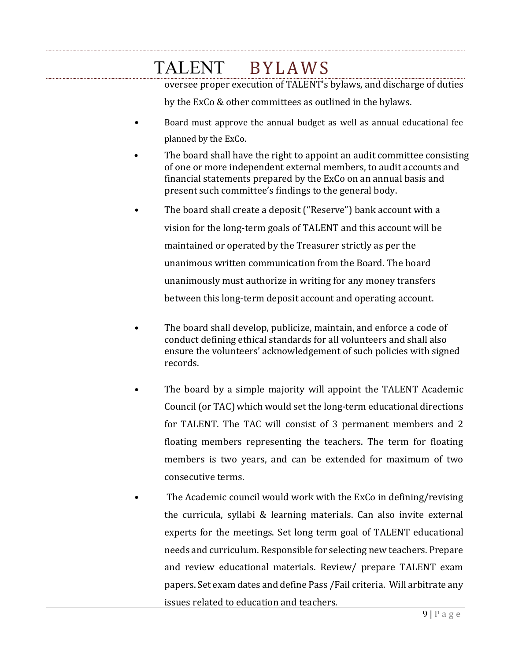oversee proper execution of TALENT's bylaws, and discharge of duties

by the ExCo & other committees as outlined in the bylaws.

- Board must approve the annual budget as well as annual educational fee planned by the ExCo.
- The board shall have the right to appoint an audit committee consisting of one or more independent external members, to audit accounts and financial statements prepared by the ExCo on an annual basis and present such committee's findings to the general body.
- The board shall create a deposit ("Reserve") bank account with a vision for the long-term goals of TALENT and this account will be maintained or operated by the Treasurer strictly as per the unanimous written communication from the Board. The board unanimously must authorize in writing for any money transfers between this long-term deposit account and operating account.
- The board shall develop, publicize, maintain, and enforce a code of conduct defining ethical standards for all volunteers and shall also ensure the volunteers' acknowledgement of such policies with signed records.
- The board by a simple majority will appoint the TALENT Academic Council (or TAC) which would set the long-term educational directions for TALENT. The TAC will consist of 3 permanent members and 2 floating members representing the teachers. The term for floating members is two years, and can be extended for maximum of two consecutive terms.
- The Academic council would work with the ExCo in defining/revising the curricula, syllabi & learning materials. Can also invite external experts for the meetings. Set long term goal of TALENT educational needs and curriculum. Responsible for selecting new teachers. Prepare and review educational materials. Review/ prepare TALENT exam papers. Set exam dates and define Pass /Fail criteria. Will arbitrate any issues related to education and teachers.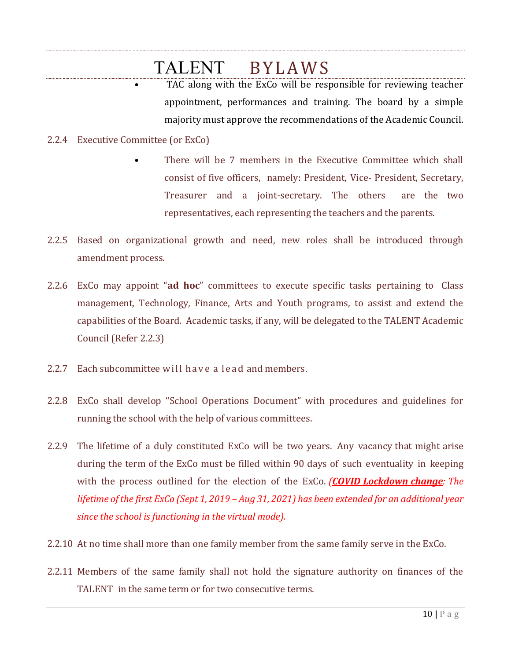- TAC along with the ExCo will be responsible for reviewing teacher appointment, performances and training. The board by a simple majority must approve the recommendations of the Academic Council.
- 2.2.4 Executive Committee (or ExCo)
	- There will be 7 members in the Executive Committee which shall consist of five officers, namely: President, Vice- President, Secretary, Treasurer and a joint-secretary. The others are the two representatives, each representing the teachers and the parents.
- 2.2.5 Based on organizational growth and need, new roles shall be introduced through amendment process.
- 2.2.6 ExCo may appoint "**ad hoc**" committees to execute specific tasks pertaining to Class management, Technology, Finance, Arts and Youth programs, to assist and extend the capabilities of the Board. Academic tasks, if any, will be delegated to the TALENT Academic Council (Refer 2.2.3)
- 2.2.7 Each subcommittee will have a lead and members.
- 2.2.8 ExCo shall develop "School Operations Document" with procedures and guidelines for running the school with the help of various committees.
- 2.2.9 The lifetime of a duly constituted ExCo will be two years. Any vacancy that might arise during the term of the ExCo must be filled within 90 days of such eventuality in keeping with the process outlined for the election of the ExCo. *(COVID Lockdown change: The lifetime of the first ExCo (Sept 1, 2019 – Aug 31, 2021) has been extended for an additional year since the school is functioning in the virtual mode).*
- 2.2.10 At no time shall more than one family member from the same family serve in the ExCo.
- 2.2.11 Members of the same family shall not hold the signature authority on finances of the TALENT in the same term or for two consecutive terms.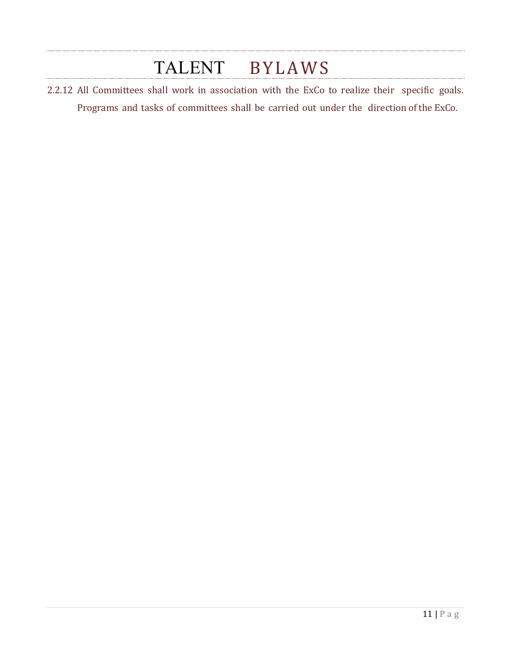2.2.12 All Committees shall work in association with the ExCo to realize their specific goals. Programs and tasks of committees shall be carried out under the direction of the ExCo.

. . . . . . . .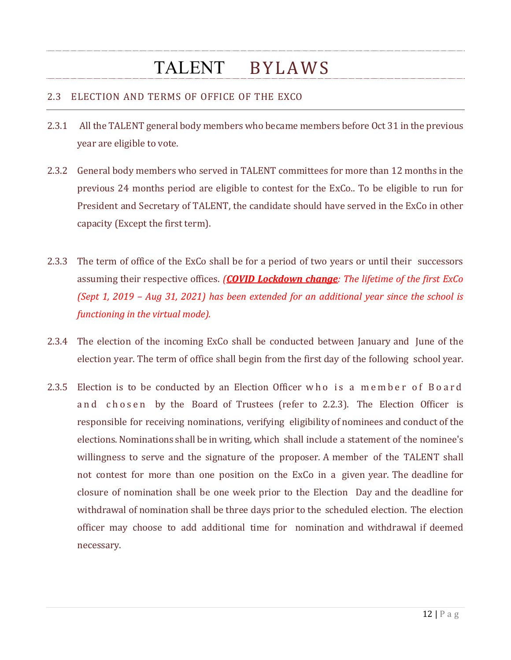### 2.3 ELECTION AND TERMS OF OFFICE OF THE EXCO

- 2.3.1 All the TALENT general body members who became members before Oct 31 in the previous year are eligible to vote.
- 2.3.2 General body members who served in TALENT committees for more than 12 months in the previous 24 months period are eligible to contest for the ExCo.. To be eligible to run for President and Secretary of TALENT, the candidate should have served in the ExCo in other capacity (Except the first term).
- 2.3.3 The term of office of the ExCo shall be for a period of two years or until their successors assuming their respective offices. *(COVID Lockdown change: The lifetime of the first ExCo (Sept 1, 2019 – Aug 31, 2021) has been extended for an additional year since the school is functioning in the virtual mode).*
- 2.3.4 The election of the incoming ExCo shall be conducted between January and June of the election year. The term of office shall begin from the first day of the following school year.
- 2.3.5 Election is to be conducted by an Election Officer who is a member of Board and chosen by the Board of Trustees (refer to 2.2.3). The Election Officer is responsible for receiving nominations, verifying eligibility of nominees and conduct of the elections.Nominations shall be in writing, which shall include a statement of the nominee's willingness to serve and the signature of the proposer. A member of the TALENT shall not contest for more than one position on the ExCo in a given year. The deadline for closure of nomination shall be one week prior to the Election Day and the deadline for withdrawal of nomination shall be three days prior to the scheduled election. The election officer may choose to add additional time for nomination and withdrawal if deemed necessary.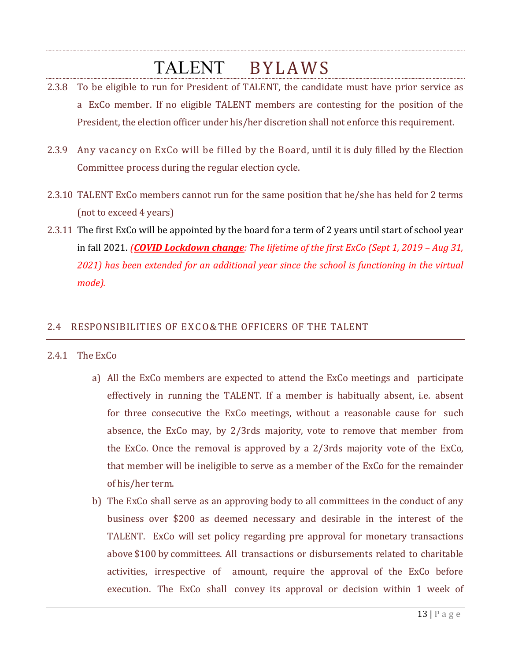- 2.3.8 To be eligible to run for President of TALENT, the candidate must have prior service as a ExCo member. If no eligible TALENT members are contesting for the position of the President, the election officer under his/her discretion shall not enforce this requirement.
- 2.3.9 Any vacancy on ExCo will be filled by the Board, until it is duly filled by the Election Committee process during the regular election cycle.
- 2.3.10 TALENT ExCo members cannot run for the same position that he/she has held for 2 terms (not to exceed 4 years)
- 2.3.11 The first ExCo will be appointed by the board for a term of 2 years until start of school year in fall 2021. *(COVID Lockdown change: The lifetime of the first ExCo (Sept 1, 2019 – Aug 31, 2021) has been extended for an additional year since the school is functioning in the virtual mode).*

### 2.4 RESPONSIBILITIES OF EXCO&THE OFFICERS OF THE TALENT

#### 2.4.1 The ExCo

- a) All the ExCo members are expected to attend the ExCo meetings and participate effectively in running the TALENT. If a member is habitually absent, i.e. absent for three consecutive the ExCo meetings, without a reasonable cause for such absence, the ExCo may, by 2/3rds majority, vote to remove that member from the ExCo. Once the removal is approved by a 2/3rds majority vote of the ExCo, that member will be ineligible to serve as a member of the ExCo for the remainder of his/her term.
- b) The ExCo shall serve as an approving body to all committees in the conduct of any business over \$200 as deemed necessary and desirable in the interest of the TALENT. ExCo will set policy regarding pre approval for monetary transactions above \$100 by committees. All transactions or disbursements related to charitable activities, irrespective of amount, require the approval of the ExCo before execution. The ExCo shall convey its approval or decision within 1 week of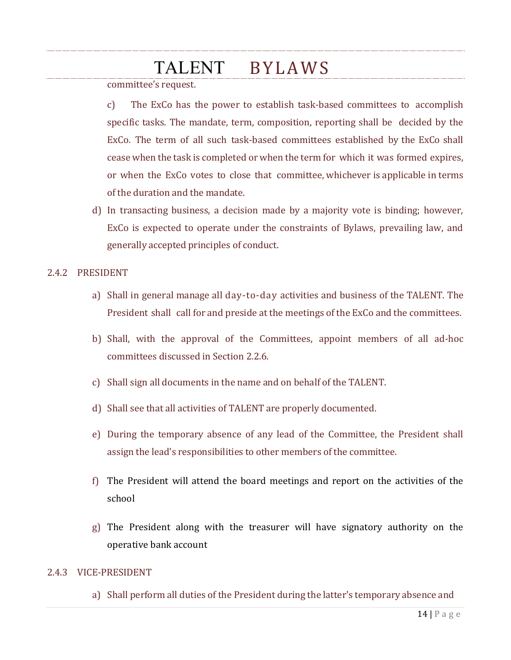committee's request.

c) The ExCo has the power to establish task-based committees to accomplish specific tasks. The mandate, term, composition, reporting shall be decided by the ExCo. The term of all such task-based committees established by the ExCo shall cease when the task is completed or when the term for which it was formed expires, or when the ExCo votes to close that committee, whichever is applicable in terms of the duration and the mandate.

d) In transacting business, a decision made by a majority vote is binding; however, ExCo is expected to operate under the constraints of Bylaws, prevailing law, and generally accepted principles of conduct.

#### 2.4.2 PRESIDENT

- a) Shall in general manage all day-to-day activities and business of the TALENT. The President shall call for and preside at the meetings of the ExCo and the committees.
- b) Shall, with the approval of the Committees, appoint members of all ad-hoc committees discussed in Section 2.2.6.
- c) Shall sign all documents in the name and on behalf of the TALENT.
- d) Shall see that all activities of TALENT are properly documented.
- e) During the temporary absence of any lead of the Committee, the President shall assign the lead's responsibilities to other members of the committee.
- f) The President will attend the board meetings and report on the activities of the school
- g) The President along with the treasurer will have signatory authority on the operative bank account

#### 2.4.3 VICE-PRESIDENT

a) Shall perform all duties of the President during the latter's temporary absence and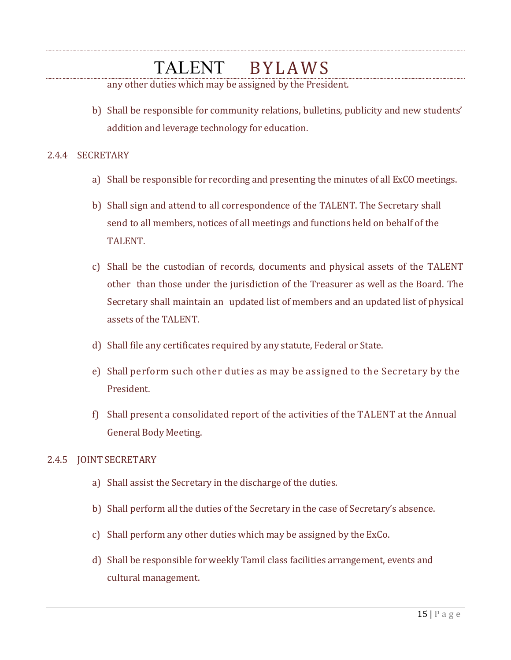any other duties which may be assigned by the President.

b) Shall be responsible for community relations, bulletins, publicity and new students' addition and leverage technology for education.

#### 2.4.4 SECRETARY

- a) Shall be responsible for recording and presenting the minutes of all ExCO meetings.
- b) Shall sign and attend to all correspondence of the TALENT. The Secretary shall send to all members, notices of all meetings and functions held on behalf of the TALENT.
- c) Shall be the custodian of records, documents and physical assets of the TALENT other than those under the jurisdiction of the Treasurer as well as the Board. The Secretary shall maintain an updated list of members and an updated list of physical assets of the TALENT.
- d) Shall file any certificates required by any statute, Federal or State.
- e) Shall perform such other duties as may be assigned to the Secretary by the President.
- f) Shall present a consolidated report of the activities of the TALENT at the Annual General Body Meeting.

#### 2.4.5 JOINT SECRETARY

- a) Shall assist the Secretary in the discharge of the duties.
- b) Shall perform all the duties of the Secretary in the case of Secretary's absence.
- c) Shall perform any other duties which may be assigned by the ExCo.
- d) Shall be responsible for weekly Tamil class facilities arrangement, events and cultural management.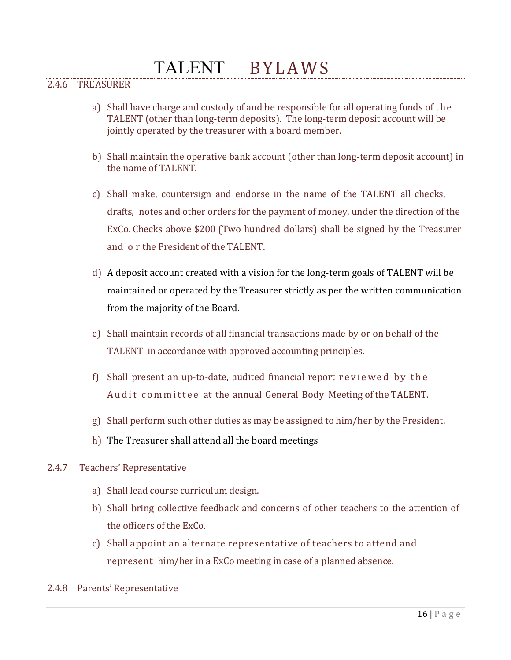### 2.4.6 TREASURER

- a) Shall have charge and custody of and be responsible for all operating funds of the TALENT (other than long-term deposits). The long-term deposit account will be jointly operated by the treasurer with a board member.
- b) Shall maintain the operative bank account (other than long-term deposit account) in the name of TALENT.
- c) Shall make, countersign and endorse in the name of the TALENT all checks, drafts, notes and other orders for the payment of money, under the direction of the ExCo. Checks above \$200 (Two hundred dollars) shall be signed by the Treasurer and o r the President of the TALENT.
- d) A deposit account created with a vision for the long-term goals of TALENT will be maintained or operated by the Treasurer strictly as per the written communication from the majority of the Board.
- e) Shall maintain records of all financial transactions made by or on behalf of the TALENT in accordance with approved accounting principles.
- f) Shall present an up-to-date, audited financial report reviewed by the Audit committee at the annual General Body Meeting of the TALENT.
- g) Shall perform such other duties as may be assigned to him/her by the President.
- h) The Treasurer shall attend all the board meetings

#### 2.4.7 Teachers' Representative

- a) Shall lead course curriculum design.
- b) Shall bring collective feedback and concerns of other teachers to the attention of the officers of the ExCo.
- c) Shall appoint an alternate representative of teachers to attend and represent him/her in a ExCo meeting in case of a planned absence.
- 2.4.8 Parents' Representative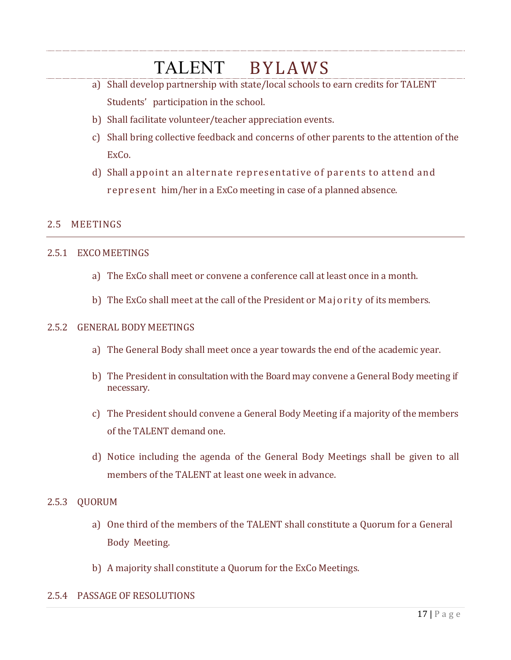- a) Shall develop partnership with state/local schools to earn credits for TALENT Students' participation in the school.
- b) Shall facilitate volunteer/teacher appreciation events.
- c) Shall bring collective feedback and concerns of other parents to the attention of the ExCo.
- d) Shall appoint an alternate representative of parents to attend and represent him/her in a ExCo meeting in case of a planned absence.

### 2.5 MEETINGS

#### 2.5.1 EXCO MEETINGS

- a) The ExCo shall meet or convene a conference call at least once in a month.
- b) The ExCo shall meet at the call of the President or Majority of its members.

#### 2.5.2 GENERAL BODY MEETINGS

- a) The General Body shall meet once a year towards the end of the academic year.
- b) The President in consultation with the Board may convene a General Body meeting if necessary.
- c) The President should convene a General Body Meeting if a majority of the members of the TALENT demand one.
- d) Notice including the agenda of the General Body Meetings shall be given to all members of the TALENT at least one week in advance.

#### 2.5.3 QUORUM

- a) One third of the members of the TALENT shall constitute a Quorum for a General Body Meeting.
- b) A majority shall constitute a Quorum for the ExCo Meetings.

#### 2.5.4 PASSAGE OF RESOLUTIONS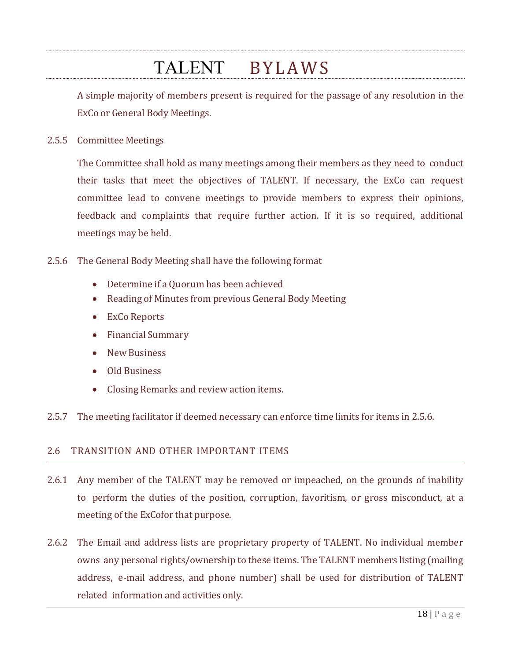A simple majority of members present is required for the passage of any resolution in the ExCo or General Body Meetings.

2.5.5 Committee Meetings

The Committee shall hold as many meetings among their members as they need to conduct their tasks that meet the objectives of TALENT. If necessary, the ExCo can request committee lead to convene meetings to provide members to express their opinions, feedback and complaints that require further action. If it is so required, additional meetings may be held.

#### <span id="page-17-0"></span>2.5.6 The General Body Meeting shall have the following format

- Determine if a Quorum has been achieved
- Reading of Minutes from previous General Body Meeting
- ExCo Reports
- Financial Summary
- New Business
- Old Business
- Closing Remarks and review action items.
- 2.5.7 The meeting facilitator if deemed necessary can enforce time limits for items in [2.5.6.](#page-17-0)

#### 2.6 TRANSITION AND OTHER IMPORTANT ITEMS

- 2.6.1 Any member of the TALENT may be removed or impeached, on the grounds of inability to perform the duties of the position, corruption, favoritism, or gross misconduct, at a meeting of the ExCofor that purpose.
- 2.6.2 The Email and address lists are proprietary property of TALENT. No individual member owns any personal rights/ownership to these items. The TALENT members listing (mailing address, e-mail address, and phone number) shall be used for distribution of TALENT related information and activities only.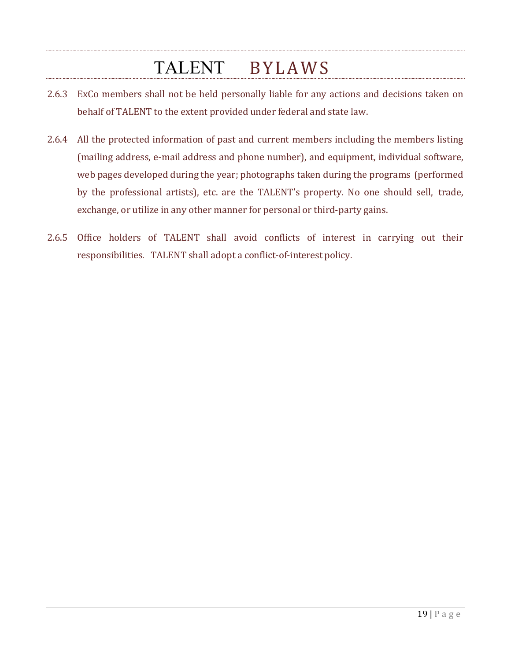- 2.6.3 ExCo members shall not be held personally liable for any actions and decisions taken on behalf of TALENT to the extent provided under federal and state law.
- 2.6.4 All the protected information of past and current members including the members listing (mailing address, e-mail address and phone number), and equipment, individual software, web pages developed during the year; photographs taken during the programs (performed by the professional artists), etc. are the TALENT's property. No one should sell, trade, exchange, or utilize in any other manner for personal or third-party gains.
- 2.6.5 Office holders of TALENT shall avoid conflicts of interest in carrying out their responsibilities. TALENT shall adopt a conflict-of-interest policy.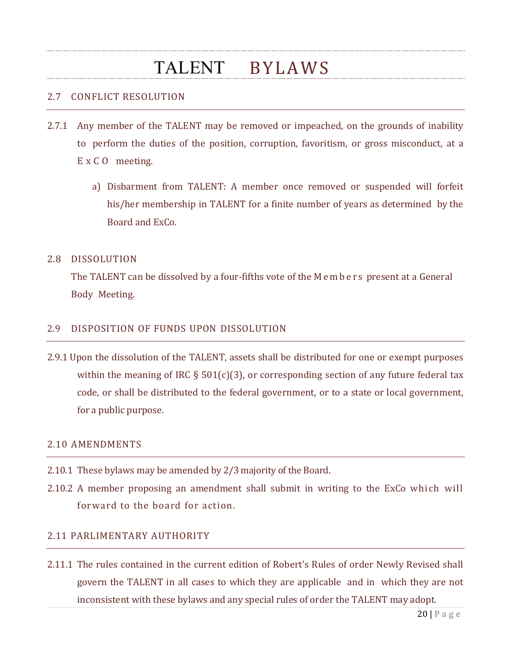#### 2.7 CONFLICT RESOLUTION

- 2.7.1 Any member of the TALENT may be removed or impeached, on the grounds of inability to perform the duties of the position, corruption, favoritism, or gross misconduct, at a E x C O meeting.
	- a) Disbarment from TALENT: A member once removed or suspended will forfeit his/her membership in TALENT for a finite number of years as determined by the Board and ExCo.

#### 2.8 DISSOLUTION

The TALENT can be dissolved by a four-fifths vote of the Members present at a General Body Meeting.

#### 2.9 DISPOSITION OF FUNDS UPON DISSOLUTION

2.9.1 Upon the dissolution of the TALENT, assets shall be distributed for one or exempt purposes within the meaning of IRC  $\S$  501(c)(3), or corresponding section of any future federal tax code, or shall be distributed to the federal government, or to a state or local government, for a public purpose.

#### 2.10 AMENDMENTS

- 2.10.1 These bylaws may be amended by 2/3 majority of the Board.
- 2.10.2 A member proposing an amendment shall submit in writing to the ExCo which will forward to the board for action.

#### 2.11 PARLIMENTARY AUTHORITY

2.11.1 The rules contained in the current edition of Robert's Rules of order Newly Revised shall govern the TALENT in all cases to which they are applicable and in which they are not inconsistent with these bylaws and any special rules of order the TALENT may adopt.